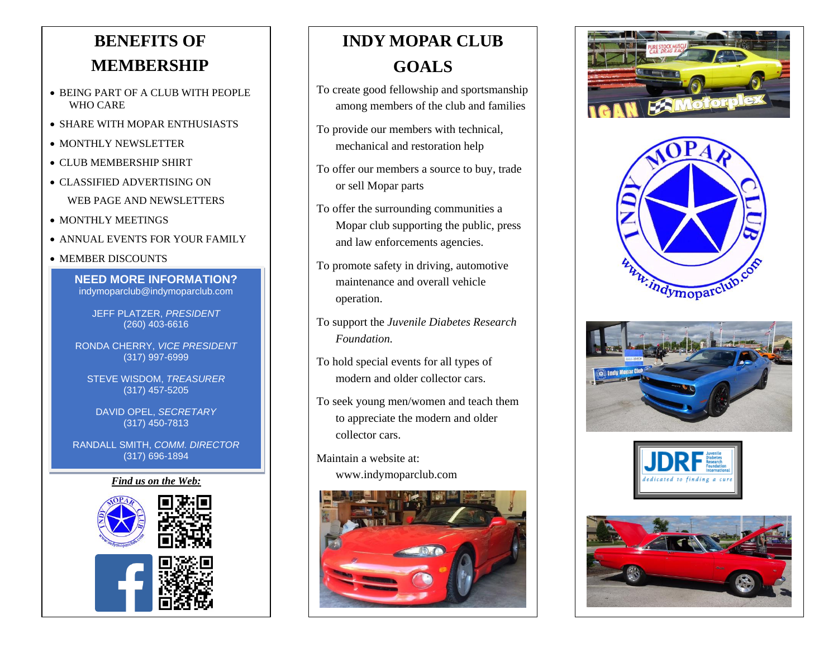# **BENEFITS OF MEMBERSHIP**

- BEING PART OF A CLUB WITH PEOPLE WHO CARE
- SHARE WITH MOPAR ENTHUSIASTS
- MONTHLY NEWSLETTER
- CLUB MEMBERSHIP SHIRT
- CLASSIFIED ADVERTISING ON WEB PAGE AND NEWSLETTERS
- MONTHLY MEETINGS
- ANNUAL EVENTS FOR YOUR FAMILY
- MEMBER DISCOUNTS

**NEED MORE INFORMATION?** indymoparclub@indymoparclub.com

JEFF PLATZER, *PRESIDENT* (260) 403-6616

RONDA CHERRY, *VICE PRESIDENT* (317) 997-6999

STEVE WISDOM, *TREASURER* (317) 457-5205

DAVID OPEL, *SECRETARY* (317) 450-7813

RANDALL SMITH, *COMM. DIRECTOR* (317) 696-1894

### *Find us on the Web:*



# **INDY MOPAR CLUB GOALS**

- To create good fellowship and sportsmanship among members of the club and families
- To provide our members with technical, mechanical and restoration help
- To offer our members a source to buy, trade or sell Mopar parts
- To offer the surrounding communities a Mopar club supporting the public, press and law enforcements agencies.
- To promote safety in driving, automotive maintenance and overall vehicle operation.
- To support the *Juvenile Diabetes Research Foundation.*
- To hold special events for all types of modern and older collector cars.
- To seek young men/women and teach them to appreciate the modern and older collector cars.
- Maintain a website at:
	- www.indymoparclub.com